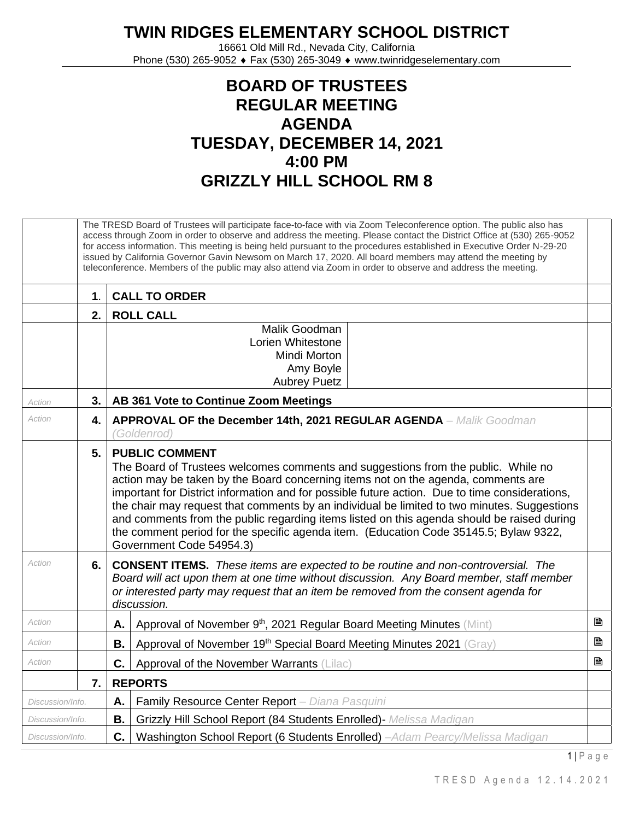## **TWIN RIDGES ELEMENTARY SCHOOL DISTRICT**

16661 Old Mill Rd., Nevada City, California Phone (530) 265-9052 ♦ Fax (530) 265-3049 ♦ www.twinridgeselementary.com

## **BOARD OF TRUSTEES REGULAR MEETING AGENDA TUESDAY, DECEMBER 14, 2021 4:00 PM GRIZZLY HILL SCHOOL RM 8**

|                                                                          |                      | The TRESD Board of Trustees will participate face-to-face with via Zoom Teleconference option. The public also has<br>access through Zoom in order to observe and address the meeting. Please contact the District Office at (530) 265-9052<br>for access information. This meeting is being held pursuant to the procedures established in Executive Order N-29-20<br>issued by California Governor Gavin Newsom on March 17, 2020. All board members may attend the meeting by<br>teleconference. Members of the public may also attend via Zoom in order to observe and address the meeting.                     |   |  |  |  |
|--------------------------------------------------------------------------|----------------------|---------------------------------------------------------------------------------------------------------------------------------------------------------------------------------------------------------------------------------------------------------------------------------------------------------------------------------------------------------------------------------------------------------------------------------------------------------------------------------------------------------------------------------------------------------------------------------------------------------------------|---|--|--|--|
|                                                                          | 1.                   | <b>CALL TO ORDER</b>                                                                                                                                                                                                                                                                                                                                                                                                                                                                                                                                                                                                |   |  |  |  |
|                                                                          | 2.                   | <b>ROLL CALL</b>                                                                                                                                                                                                                                                                                                                                                                                                                                                                                                                                                                                                    |   |  |  |  |
|                                                                          |                      | Malik Goodman<br>Lorien Whitestone<br>Mindi Morton<br>Amy Boyle<br><b>Aubrey Puetz</b>                                                                                                                                                                                                                                                                                                                                                                                                                                                                                                                              |   |  |  |  |
| Action                                                                   | 3.                   | AB 361 Vote to Continue Zoom Meetings                                                                                                                                                                                                                                                                                                                                                                                                                                                                                                                                                                               |   |  |  |  |
| Action                                                                   | 4.                   | <b>APPROVAL OF the December 14th, 2021 REGULAR AGENDA - Malik Goodman</b><br>(Goldenrod)                                                                                                                                                                                                                                                                                                                                                                                                                                                                                                                            |   |  |  |  |
|                                                                          | 5.                   | <b>PUBLIC COMMENT</b><br>The Board of Trustees welcomes comments and suggestions from the public. While no<br>action may be taken by the Board concerning items not on the agenda, comments are<br>important for District information and for possible future action. Due to time considerations,<br>the chair may request that comments by an individual be limited to two minutes. Suggestions<br>and comments from the public regarding items listed on this agenda should be raised during<br>the comment period for the specific agenda item. (Education Code 35145.5; Bylaw 9322,<br>Government Code 54954.3) |   |  |  |  |
| Action                                                                   | 6.                   | <b>CONSENT ITEMS.</b> These items are expected to be routine and non-controversial. The<br>Board will act upon them at one time without discussion. Any Board member, staff member<br>or interested party may request that an item be removed from the consent agenda for<br>discussion.                                                                                                                                                                                                                                                                                                                            |   |  |  |  |
| Action                                                                   |                      | Approval of November 9 <sup>th</sup> , 2021 Regular Board Meeting Minutes (Mint)<br>Α.                                                                                                                                                                                                                                                                                                                                                                                                                                                                                                                              | B |  |  |  |
| Action                                                                   |                      | Approval of November 19th Special Board Meeting Minutes 2021 (Gray)<br>В.                                                                                                                                                                                                                                                                                                                                                                                                                                                                                                                                           | B |  |  |  |
| Action                                                                   |                      | C.<br>Approval of the November Warrants (Lilac)                                                                                                                                                                                                                                                                                                                                                                                                                                                                                                                                                                     | ₿ |  |  |  |
|                                                                          | <b>REPORTS</b><br>7. |                                                                                                                                                                                                                                                                                                                                                                                                                                                                                                                                                                                                                     |   |  |  |  |
| Family Resource Center Report - Diana Pasquini<br>Α.<br>Discussion/Info. |                      |                                                                                                                                                                                                                                                                                                                                                                                                                                                                                                                                                                                                                     |   |  |  |  |
| Discussion/Info.                                                         |                      | Grizzly Hill School Report (84 Students Enrolled) Melissa Madigan<br>В.                                                                                                                                                                                                                                                                                                                                                                                                                                                                                                                                             |   |  |  |  |
| Discussion/Info.                                                         |                      | C.<br>Washington School Report (6 Students Enrolled) -Adam Pearcy/Melissa Madigan                                                                                                                                                                                                                                                                                                                                                                                                                                                                                                                                   |   |  |  |  |

 $1 \mid P$  a g e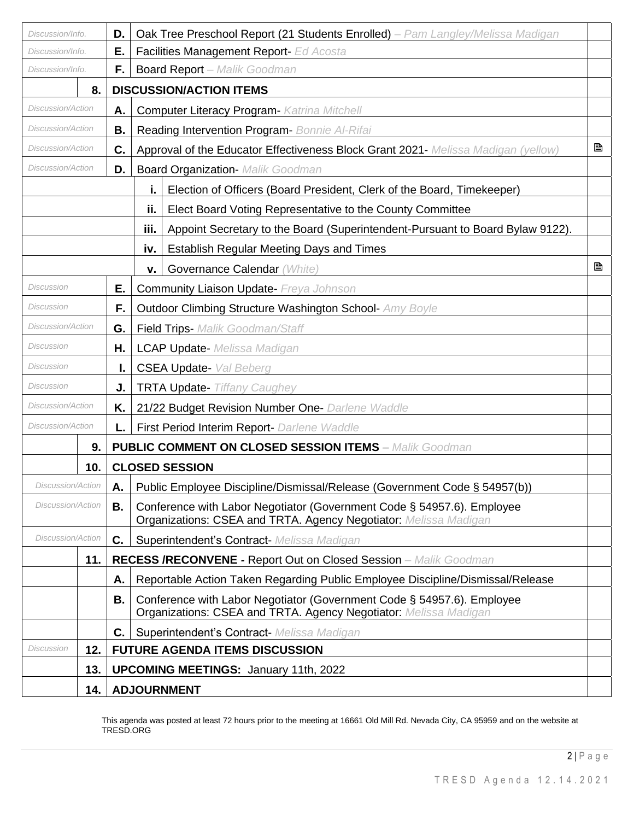| Discussion/Info.               |     | D. | Oak Tree Preschool Report (21 Students Enrolled) - Pam Langley/Melissa Madigan                                                             |   |
|--------------------------------|-----|----|--------------------------------------------------------------------------------------------------------------------------------------------|---|
| Е.<br>Discussion/Info.         |     |    | Facilities Management Report- Ed Acosta                                                                                                    |   |
| Discussion/Info.               |     | F. | <b>Board Report</b> - Malik Goodman                                                                                                        |   |
|                                | 8.  |    | <b>DISCUSSION/ACTION ITEMS</b>                                                                                                             |   |
| <i>Discussion/Action</i><br>Α. |     |    | <b>Computer Literacy Program- Katrina Mitchell</b>                                                                                         |   |
| Discussion/Action<br>В.        |     |    | Reading Intervention Program- Bonnie Al-Rifai                                                                                              |   |
| Discussion/Action<br>C.        |     |    | Approval of the Educator Effectiveness Block Grant 2021- Melissa Madigan (yellow)                                                          | B |
| <b>Discussion/Action</b><br>D. |     |    | <b>Board Organization- Malik Goodman</b>                                                                                                   |   |
|                                |     |    | i.<br>Election of Officers (Board President, Clerk of the Board, Timekeeper)                                                               |   |
|                                |     |    | ij.<br>Elect Board Voting Representative to the County Committee                                                                           |   |
|                                |     |    | iii.<br>Appoint Secretary to the Board (Superintendent-Pursuant to Board Bylaw 9122).                                                      |   |
|                                |     |    | <b>Establish Regular Meeting Days and Times</b><br>iv.                                                                                     |   |
|                                |     |    | Governance Calendar (White)<br>ν.                                                                                                          | B |
| Discussion<br>Е.               |     |    | <b>Community Liaison Update- Freya Johnson</b>                                                                                             |   |
| Discussion<br>F.               |     |    | <b>Outdoor Climbing Structure Washington School- Amy Boyle</b>                                                                             |   |
| Discussion/Action<br>G.        |     |    | <b>Field Trips-</b> Malik Goodman/Staff                                                                                                    |   |
| Discussion<br>Н.               |     |    | <b>LCAP Update-</b> Melissa Madigan                                                                                                        |   |
| Discussion<br>ı.               |     |    | <b>CSEA Update-</b> Val Beberg                                                                                                             |   |
| Discussion<br>J.               |     |    | <b>TRTA Update- Tiffany Caughey</b>                                                                                                        |   |
| Discussion/Action<br>K.        |     |    | 21/22 Budget Revision Number One- Darlene Waddle                                                                                           |   |
| Discussion/Action              |     | L. | First Period Interim Report- Darlene Waddle                                                                                                |   |
|                                | 9.  |    | <b>PUBLIC COMMENT ON CLOSED SESSION ITEMS - Malik Goodman</b>                                                                              |   |
|                                | 10. |    | <b>CLOSED SESSION</b>                                                                                                                      |   |
| Discussion/Action              |     |    | A.   Public Employee Discipline/Dismissal/Release (Government Code § 54957(b))                                                             |   |
| <b>Discussion/Action</b><br>В. |     |    | Conference with Labor Negotiator (Government Code § 54957.6). Employee<br>Organizations: CSEA and TRTA. Agency Negotiator: Melissa Madigan |   |
| Discussion/Action              |     | C. | Superintendent's Contract- Melissa Madigan                                                                                                 |   |
|                                | 11. |    | <b>RECESS /RECONVENE - Report Out on Closed Session - Malik Goodman</b>                                                                    |   |
|                                |     | А. | Reportable Action Taken Regarding Public Employee Discipline/Dismissal/Release                                                             |   |
|                                |     | В. | Conference with Labor Negotiator (Government Code § 54957.6). Employee<br>Organizations: CSEA and TRTA. Agency Negotiator: Melissa Madigan |   |
|                                |     | C. | Superintendent's Contract- Melissa Madigan                                                                                                 |   |
| Discussion                     | 12. |    | <b>FUTURE AGENDA ITEMS DISCUSSION</b>                                                                                                      |   |
|                                | 13. |    | <b>UPCOMING MEETINGS: January 11th, 2022</b>                                                                                               |   |
|                                | 14. |    | <b>ADJOURNMENT</b>                                                                                                                         |   |

This agenda was posted at least 72 hours prior to the meeting at 16661 Old Mill Rd. Nevada City, CA 95959 and on the website at TRESD.ORG

2 | P a g e